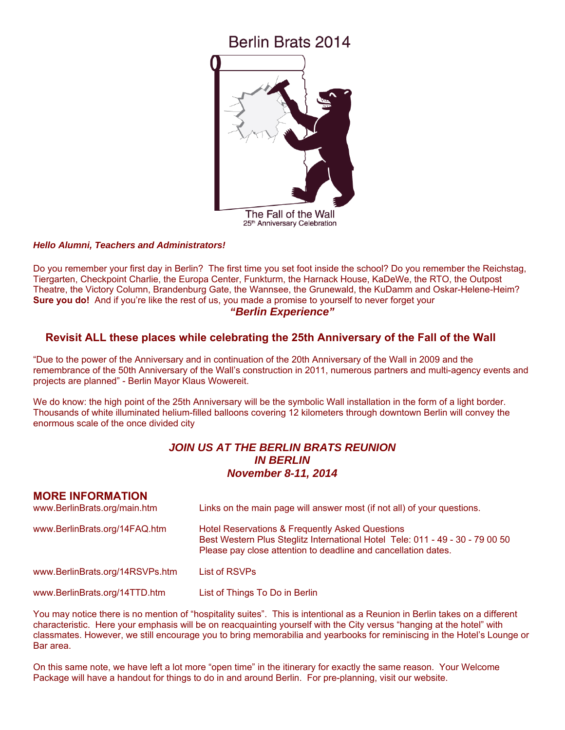# Berlin Brats 2014



#### *Hello Alumni, Teachers and Administrators!*

Do you remember your first day in Berlin? The first time you set foot inside the school? Do you remember the Reichstag, Tiergarten, Checkpoint Charlie, the Europa Center, Funkturm, the Harnack House, KaDeWe, the RTO, the Outpost Theatre, the Victory Column, Brandenburg Gate, the Wannsee, the Grunewald, the KuDamm and Oskar-Helene-Heim? **Sure you do!** And if you're like the rest of us, you made a promise to yourself to never forget your *"Berlin Experience"* 

## **Revisit ALL these places while celebrating the 25th Anniversary of the Fall of the Wall**

"Due to the power of the Anniversary and in continuation of the 20th Anniversary of the Wall in 2009 and the remembrance of the 50th Anniversary of the Wall's construction in 2011, numerous partners and multi-agency events and projects are planned" - Berlin Mayor Klaus Wowereit.

We do know: the high point of the 25th Anniversary will be the symbolic Wall installation in the form of a light border. Thousands of white illuminated helium-filled balloons covering 12 kilometers through downtown Berlin will convey the enormous scale of the once divided city

# *JOIN US AT THE BERLIN BRATS REUNION IN BERLIN November 8-11, 2014*

### **MORE INFORMATION**

| www.BerlinBrats.org/main.htm    | Links on the main page will answer most (if not all) of your questions.                                                                                                                                       |  |
|---------------------------------|---------------------------------------------------------------------------------------------------------------------------------------------------------------------------------------------------------------|--|
| www.BerlinBrats.org/14FAQ.htm   | <b>Hotel Reservations &amp; Frequently Asked Questions</b><br>Best Western Plus Steglitz International Hotel Tele: 011 - 49 - 30 - 79 00 50<br>Please pay close attention to deadline and cancellation dates. |  |
| www.BerlinBrats.org/14RSVPs.htm | List of RSVPs                                                                                                                                                                                                 |  |
| www.BerlinBrats.org/14TTD.htm   | List of Things To Do in Berlin                                                                                                                                                                                |  |

You may notice there is no mention of "hospitality suites". This is intentional as a Reunion in Berlin takes on a different characteristic. Here your emphasis will be on reacquainting yourself with the City versus "hanging at the hotel" with classmates. However, we still encourage you to bring memorabilia and yearbooks for reminiscing in the Hotel's Lounge or Bar area.

On this same note, we have left a lot more "open time" in the itinerary for exactly the same reason. Your Welcome Package will have a handout for things to do in and around Berlin. For pre-planning, visit our website.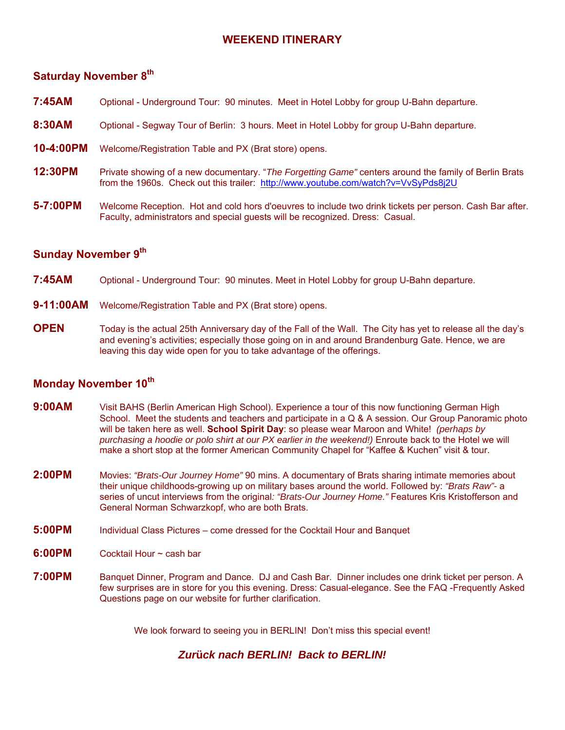# **WEEKEND ITINERARY**

# **Saturday November 8th**

- **7:45AM** Optional Underground Tour: 90 minutes. Meet in Hotel Lobby for group U-Bahn departure.
- 8:30AM Optional Segway Tour of Berlin: 3 hours. Meet in Hotel Lobby for group U-Bahn departure.
- **10-4:00PM** Welcome/Registration Table and PX (Brat store) opens.
- **12:30PM** Private showing of a new documentary. "*The Forgetting Game"* centers around the family of Berlin Brats from the 1960s. Check out this trailer: <http://www.youtube.com/watch?v=VvSyPds8j2U>
- **5-7:00PM** Welcome Reception. Hot and cold hors d'oeuvres to include two drink tickets per person. Cash Bar after. Faculty, administrators and special guests will be recognized. Dress: Casual.

# **Sunday November 9th**

- **7:45AM** Optional Underground Tour: 90 minutes. Meet in Hotel Lobby for group U-Bahn departure.
- **9-11:00AM** Welcome/Registration Table and PX (Brat store) opens.
- **OPEN** Today is the actual 25th Anniversary day of the Fall of the Wall. The City has yet to release all the day's and evening's activities; especially those going on in and around Brandenburg Gate. Hence, we are leaving this day wide open for you to take advantage of the offerings.

# **Monday November 10th**

- **9:00AM** Visit BAHS (Berlin American High School). Experience a tour of this now functioning German High School. Meet the students and teachers and participate in a Q & A session. Our Group Panoramic photo will be taken here as well. **School Spirit Day**: so please wear Maroon and White! *(perhaps by purchasing a hoodie or polo shirt at our PX earlier in the weekend!)* Enroute back to the Hotel we will make a short stop at the former American Community Chapel for "Kaffee & Kuchen" visit & tour.
- **2:00PM** Movies: *"Brats-Our Journey Home"* 90 mins. A documentary of Brats sharing intimate memories about their unique childhoods-growing up on military bases around the world. Followed by: *"Brats Raw"-* a series of uncut interviews from the original*: "Brats-Our Journey Home."* Features Kris Kristofferson and General Norman Schwarzkopf, who are both Brats.
- **5:00PM** Individual Class Pictures come dressed for the Cocktail Hour and Banquet
- **6:00PM** Cocktail Hour ~ cash bar
- **7:00PM** Banquet Dinner, Program and Dance. DJ and Cash Bar. Dinner includes one drink ticket per person. A few surprises are in store for you this evening. Dress: Casual-elegance. See the FAQ -Frequently Asked Questions page on our website for further clarification.

We look forward to seeing you in BERLIN! Don't miss this special event!

## *Zur***ü***ck nach BERLIN! Back to BERLIN!*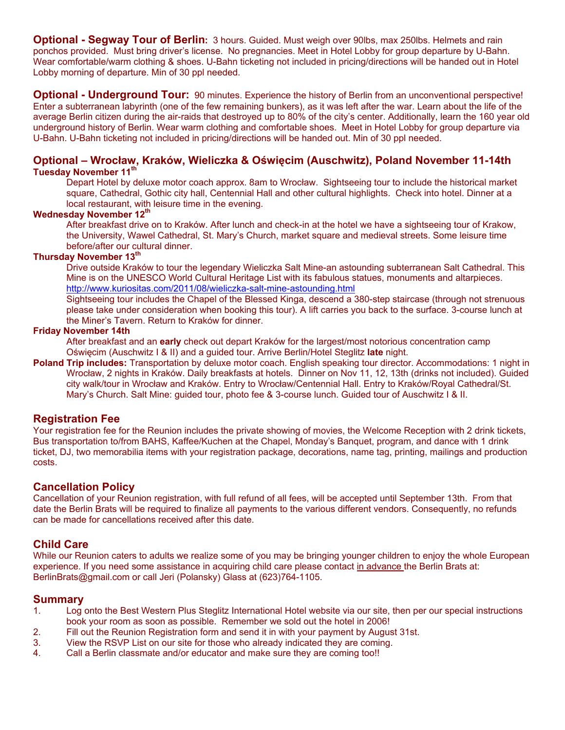**Optional - Segway Tour of Berlin:** 3 hours. Guided. Must weigh over 90lbs, max 250lbs. Helmets and rain ponchos provided. Must bring driver's license. No pregnancies. Meet in Hotel Lobby for group departure by U-Bahn. Wear comfortable/warm clothing & shoes. U-Bahn ticketing not included in pricing/directions will be handed out in Hotel Lobby morning of departure. Min of 30 ppl needed.

**Optional - Underground Tour:** 90 minutes. Experience the history of Berlin from an unconventional perspective! Enter a subterranean labyrinth (one of the few remaining bunkers), as it was left after the war. Learn about the life of the average Berlin citizen during the air-raids that destroyed up to 80% of the city's center. Additionally, learn the 160 year old underground history of Berlin. Wear warm clothing and comfortable shoes. Meet in Hotel Lobby for group departure via U-Bahn. U-Bahn ticketing not included in pricing/directions will be handed out. Min of 30 ppl needed.

#### **Optional – Wrocław, Kraków, Wieliczka & Oświęcim (Auschwitz), Poland November 11-14th Tuesday November 11th**

Depart Hotel by deluxe motor coach approx. 8am to Wrocław. Sightseeing tour to include the historical market square, Cathedral, Gothic city hall, Centennial Hall and other cultural highlights. Check into hotel. Dinner at a local restaurant, with leisure time in the evening.

### **Wednesday November 12th**

After breakfast drive on to Kraków. After lunch and check-in at the hotel we have a sightseeing tour of Krakow, the University, Wawel Cathedral, St. Mary's Church, market square and medieval streets. Some leisure time before/after our cultural dinner.

#### **Thursday November 13th**

Drive outside Kraków to tour the legendary Wieliczka Salt Mine-an astounding subterranean Salt Cathedral. This Mine is on the UNESCO World Cultural Heritage List with its fabulous statues, monuments and altarpieces. <http://www.kuriositas.com/2011/08/wieliczka-salt-mine-astounding.html>

Sightseeing tour includes the Chapel of the Blessed Kinga, descend a 380-step staircase (through not strenuous please take under consideration when booking this tour). A lift carries you back to the surface. 3-course lunch at the Miner's Tavern. Return to Kraków for dinner.

#### **Friday November 14th**

After breakfast and an **early** check out depart Kraków for the largest/most notorious concentration camp Oświęcim (Auschwitz I & II) and a guided tour. Arrive Berlin/Hotel Steglitz **late** night.

**Poland Trip includes:** Transportation by deluxe motor coach. English speaking tour director. Accommodations: 1 night in Wrocław, 2 nights in Kraków. Daily breakfasts at hotels. Dinner on Nov 11, 12, 13th (drinks not included). Guided city walk/tour in Wrocław and Kraków. Entry to Wrocław/Centennial Hall. Entry to Kraków/Royal Cathedral/St. Mary's Church. Salt Mine: guided tour, photo fee & 3-course lunch. Guided tour of Auschwitz I & II.

#### **Registration Fee**

Your registration fee for the Reunion includes the private showing of movies, the Welcome Reception with 2 drink tickets, Bus transportation to/from BAHS, Kaffee/Kuchen at the Chapel, Monday's Banquet, program, and dance with 1 drink ticket, DJ, two memorabilia items with your registration package, decorations, name tag, printing, mailings and production costs.

#### **Cancellation Policy**

Cancellation of your Reunion registration, with full refund of all fees, will be accepted until September 13th. From that date the Berlin Brats will be required to finalize all payments to the various different vendors. Consequently, no refunds can be made for cancellations received after this date.

## **Child Care**

While our Reunion caters to adults we realize some of you may be bringing younger children to enjoy the whole European experience. If you need some assistance in acquiring child care please contact in advance the Berlin Brats at: [BerlinBrats@gmail.com](mailto:BerlinBrats@gmail.com) or call Jeri (Polansky) Glass at (623)764-1105.

## **Summary**

- 1. Log onto the Best Western Plus Steglitz International Hotel website via our site, then per our special instructions book your room as soon as possible. Remember we sold out the hotel in 2006!
- 2. Fill out the Reunion Registration form and send it in with your payment by August 31st.
- 3. View the RSVP List on our site for those who already indicated they are coming.
- 4. Call a Berlin classmate and/or educator and make sure they are coming too!!